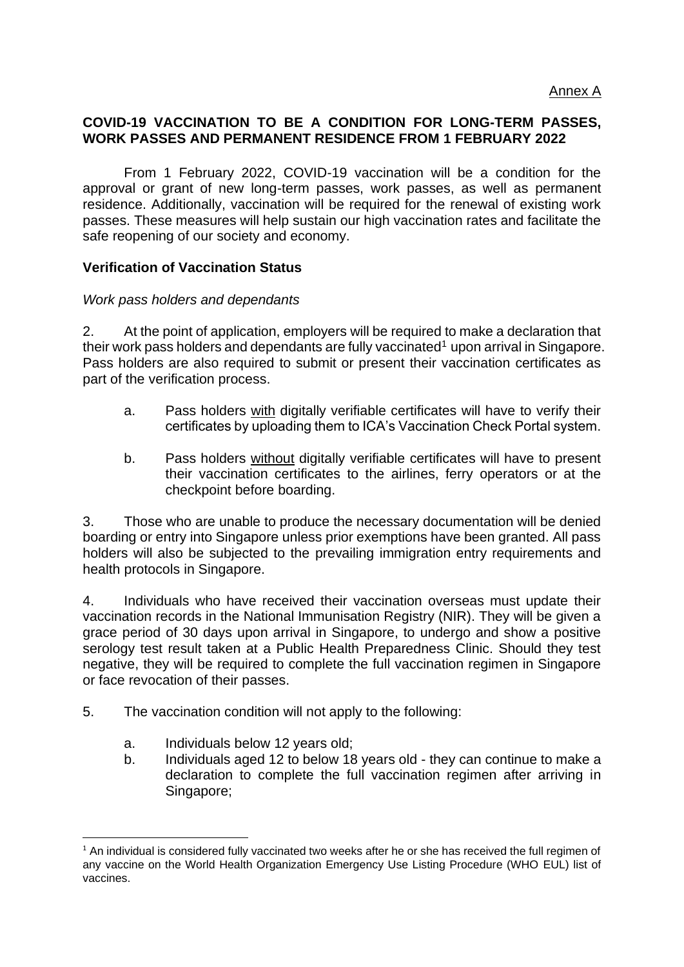## **COVID-19 VACCINATION TO BE A CONDITION FOR LONG-TERM PASSES, WORK PASSES AND PERMANENT RESIDENCE FROM 1 FEBRUARY 2022**

From 1 February 2022, COVID-19 vaccination will be a condition for the approval or grant of new long-term passes, work passes, as well as permanent residence. Additionally, vaccination will be required for the renewal of existing work passes. These measures will help sustain our high vaccination rates and facilitate the safe reopening of our society and economy.

## **Verification of Vaccination Status**

## *Work pass holders and dependants*

2. At the point of application, employers will be required to make a declaration that their work pass holders and dependants are fully vaccinated<sup>1</sup> upon arrival in Singapore. Pass holders are also required to submit or present their vaccination certificates as part of the verification process.

- a. Pass holders with digitally verifiable certificates will have to verify their certificates by uploading them to ICA's Vaccination Check Portal system.
- b. Pass holders without digitally verifiable certificates will have to present their vaccination certificates to the airlines, ferry operators or at the checkpoint before boarding.

3. Those who are unable to produce the necessary documentation will be denied boarding or entry into Singapore unless prior exemptions have been granted. All pass holders will also be subjected to the prevailing immigration entry requirements and health protocols in Singapore.

4. Individuals who have received their vaccination overseas must update their vaccination records in the National Immunisation Registry (NIR). They will be given a grace period of 30 days upon arrival in Singapore, to undergo and show a positive serology test result taken at a Public Health Preparedness Clinic. Should they test negative, they will be required to complete the full vaccination regimen in Singapore or face revocation of their passes.

- 5. The vaccination condition will not apply to the following:
	- a. Individuals below 12 years old;
	- b. Individuals aged 12 to below 18 years old they can continue to make a declaration to complete the full vaccination regimen after arriving in Singapore;

 $1$  An individual is considered fully vaccinated two weeks after he or she has received the full regimen of any vaccine on the World Health Organization Emergency Use Listing Procedure (WHO EUL) list of vaccines.